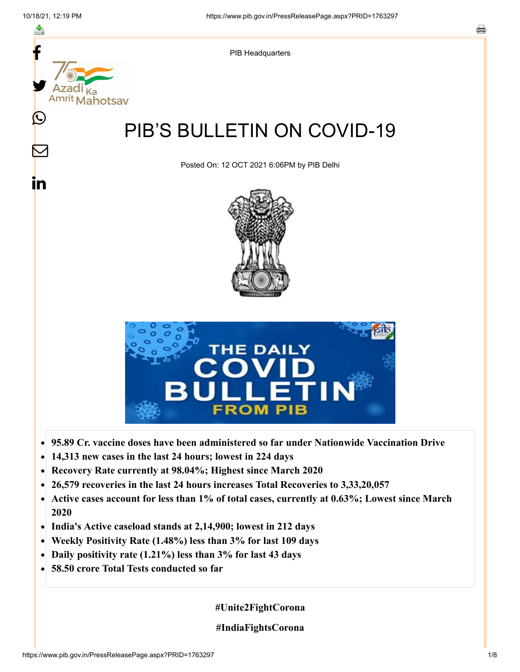

- 
- **Recovery Rate currently at 98.04%; Highest since March 2020**
- **26,579 recoveries in the last 24 hours increases Total Recoveries to 3,33,20,057**
- $\bullet$ **Active cases account for less than 1% of total cases, currently at 0.63%; Lowest since March 2020**
- **India's Active caseload stands at 2,14,900; lowest in 212 days**
- **Weekly Positivity Rate (1.48%) less than 3% for last 109 days**  $\bullet$
- **Daily positivity rate (1.21%) less than 3% for last 43 days**  $\bullet$
- **58.50 crore Total Tests conducted so far**  $\bullet$

**#Unite2FightCorona**

**#IndiaFightsCorona**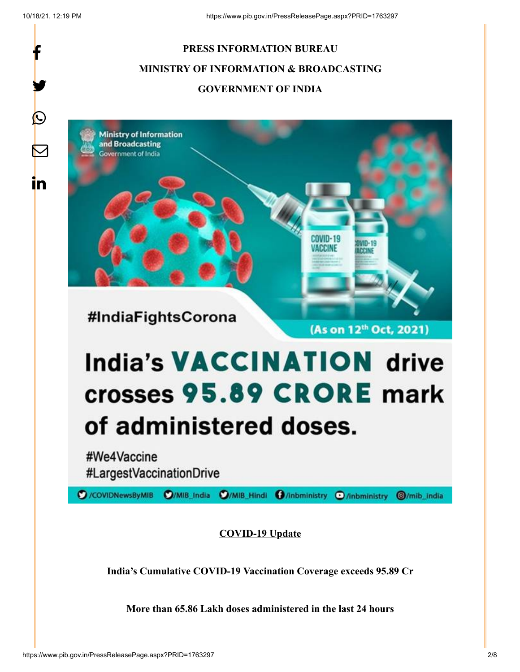f

y.

 $\bigcirc$ 

 $\bm \nabla$ 

in

## **PRESS INFORMATION BUREAU MINISTRY OF INFORMATION & BROADCASTING GOVERNMENT OF INDIA**

**Ministry of Information** and Broadcasting sovernment of India

#IndiaFightsCorona

(As on 12<sup>th</sup> Oct, 2021)

**COVID-19** ARRINE

# **India's VACCINATION drive** crosses 95.89 CRORE mark of administered doses.

#We4Vaccine #LargestVaccinationDrive

C/COVIDNewsByMIB C/MIB\_India C/MIB\_Hindi C/inbministry O/inbministry O/mib\_india

**COVID-19 Update**

**India's Cumulative COVID-19 Vaccination Coverage exceeds 95.89 Cr**

**More than 65.86 Lakh doses administered in the last 24 hours**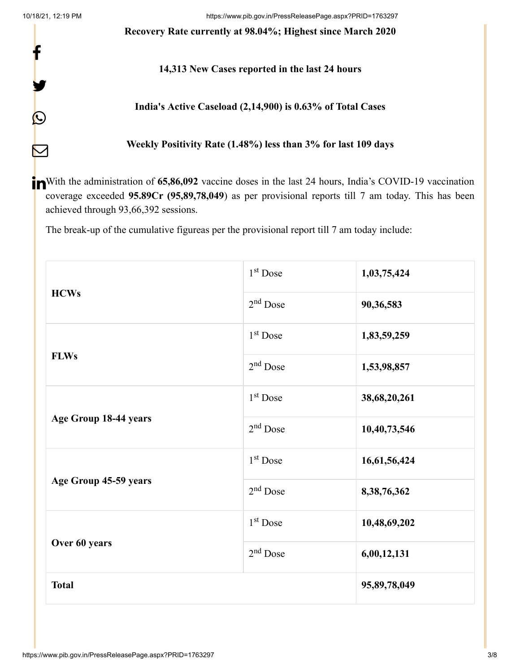f

y.

 $\bm{\mathcal{Q}}$ 

 $\bm{\nabla}$ 

**Recovery Rate currently at 98.04%; Highest since March 2020**

#### **14,313 New Cases reported in the last 24 hours**

**India's Active Caseload (2,14,900) is 0.63% of Total Cases**

**Weekly Positivity Rate (1.48%) less than 3% for last 109 days**

With the administration of **65,86,092** vaccine doses in the last 24 hours, India's COVID-19 vaccination coverage exceeded **95.89Cr (95,89,78,049**) as per provisional reports till 7 am today. This has been achieved through 93,66,392 sessions.

The break-up of the cumulative figureas per the provisional report till 7 am today include:

|                       | 1 <sup>st</sup> Dose | 1,03,75,424  |
|-----------------------|----------------------|--------------|
| <b>HCWs</b>           | $2nd$ Dose           | 90,36,583    |
|                       | 1 <sup>st</sup> Dose | 1,83,59,259  |
| <b>FLWs</b>           | $2nd$ Dose           | 1,53,98,857  |
|                       | 1 <sup>st</sup> Dose | 38,68,20,261 |
| Age Group 18-44 years | $2nd$ Dose           | 10,40,73,546 |
| Age Group 45-59 years | 1 <sup>st</sup> Dose | 16,61,56,424 |
|                       | $2nd$ Dose           | 8,38,76,362  |
| Over 60 years         | 1 <sup>st</sup> Dose | 10,48,69,202 |
|                       | $2nd$ Dose           | 6,00,12,131  |
| <b>Total</b>          |                      | 95,89,78,049 |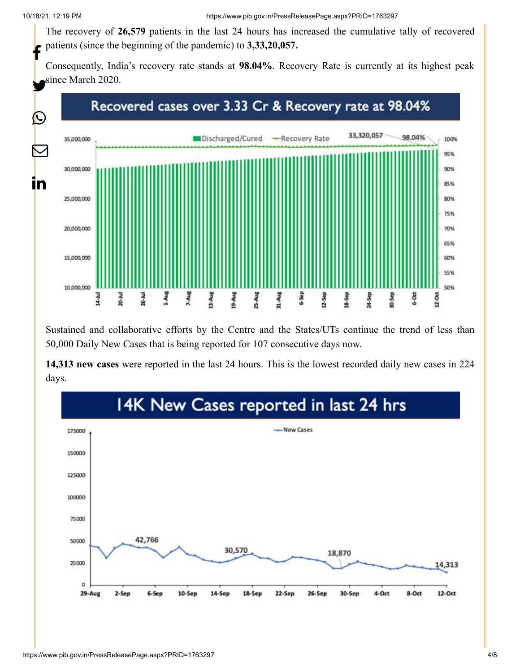The recovery of **26,579** patients in the last 24 hours has increased the cumulative tally of recovered patients (since the beginning of the pandemic) to **3,33,20,057.** f

Consequently, India's recovery rate stands at **98.04%**. Recovery Rate is currently at its highest peak since March 2020.



Sustained and collaborative efforts by the Centre and the States/UTs continue the trend of less than 50,000 Daily New Cases that is being reported for 107 consecutive days now.

**14,313 new cases** were reported in the last 24 hours. This is the lowest recorded daily new cases in 224 days.

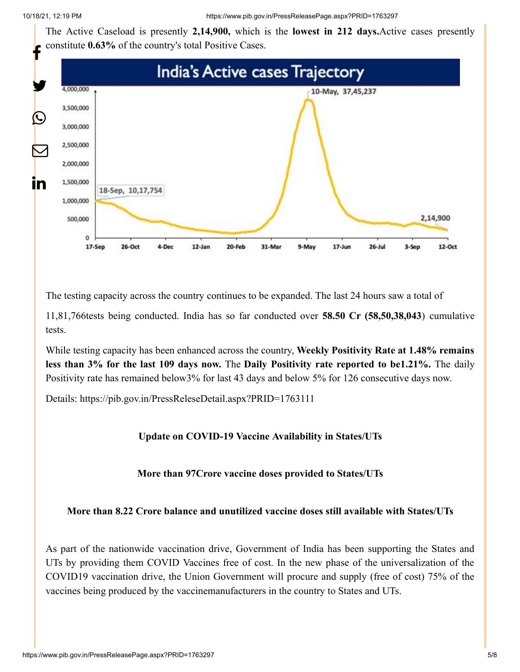The Active Caseload is presently **2,14,900,** which is the **lowest in 212 days.**Active cases presently constitute **0.63%** of the country's total Positive Cases.



The testing capacity across the country continues to be expanded. The last 24 hours saw a total of

11,81,766tests being conducted. India has so far conducted over **58.50 Cr (58,50,38,043**) cumulative tests.

While testing capacity has been enhanced across the country, **Weekly Positivity Rate at 1.48% remains less than 3% for the last 109 days now.** The **Daily Positivity rate reported to be1.21%.** The daily Positivity rate has remained below3% for last 43 days and below 5% for 126 consecutive days now.

Details:<https://pib.gov.in/PressReleseDetail.aspx?PRID=1763111>

#### **Update on COVID-19 Vaccine Availability in States/UTs**

#### **More than 97Crore vaccine doses provided to States/UTs**

#### **More than 8.22 Crore balance and unutilized vaccine doses still available with States/UTs**

As part of the nationwide vaccination drive, Government of India has been supporting the States and UTs by providing them COVID Vaccines free of cost. In the new phase of the universalization of the COVID19 vaccination drive, the Union Government will procure and supply (free of cost) 75% of the vaccines being produced by the vaccinemanufacturers in the country to States and UTs.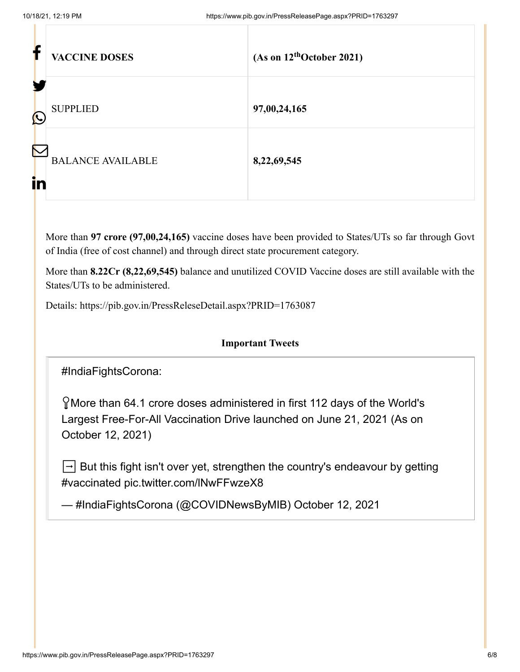| Ŀ                 | <b>VACCINE DOSES</b>     | (As on $12^{\text{th}}$ October 2021) |
|-------------------|--------------------------|---------------------------------------|
| $\mathbf{\Omega}$ | <b>SUPPLIED</b>          | 97,00,24,165                          |
| in                | <b>BALANCE AVAILABLE</b> | 8,22,69,545                           |

More than **97 crore (97,00,24,165)** vaccine doses have been provided to States/UTs so far through Govt of India (free of cost channel) and through direct state procurement category.

More than **8.22Cr (8,22,69,545)** balance and unutilized COVID Vaccine doses are still available with the States/UTs to be administered.

Details:<https://pib.gov.in/PressReleseDetail.aspx?PRID=1763087>

### **Important Tweets**

[#IndiaFightsCorona](https://twitter.com/hashtag/IndiaFightsCorona?src=hash&ref_src=twsrc%5Etfw):

More than 64.1 crore doses administered in first 112 days of the World's Largest Free-For-All Vaccination Drive launched on June 21, 2021 (As on October 12, 2021)

 $\rightarrow$  But this fight isn't over yet, strengthen the country's endeavour by getting [#vaccinated](https://twitter.com/hashtag/vaccinated?src=hash&ref_src=twsrc%5Etfw) [pic.twitter.com/lNwFFwzeX8](https://t.co/lNwFFwzeX8)

— #IndiaFightsCorona (@COVIDNewsByMIB) [October 12, 2021](https://twitter.com/COVIDNewsByMIB/status/1447828672677695491?ref_src=twsrc%5Etfw)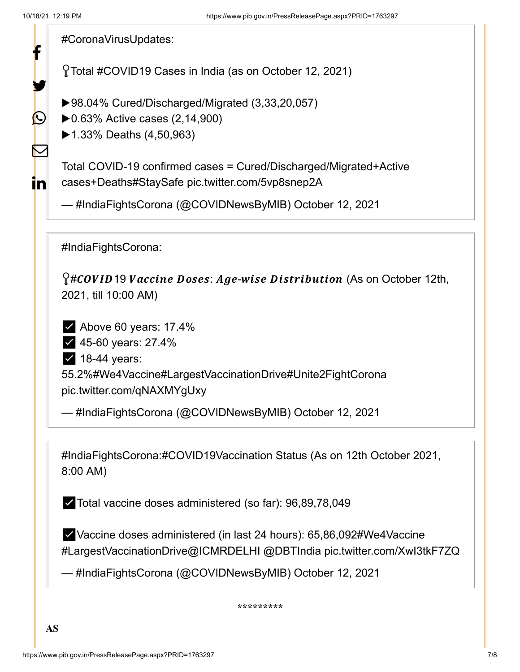f

У.

 $\bigcirc$ 

 $\blacktriangleright$ 

in.

[#CoronaVirusUpdates](https://twitter.com/hashtag/CoronaVirusUpdates?src=hash&ref_src=twsrc%5Etfw):

Total [#COVID19](https://twitter.com/hashtag/COVID19?src=hash&ref_src=twsrc%5Etfw) Cases in India (as on October 12, 2021)

- ▶98.04% Cured/Discharged/Migrated (3,33,20,057)
- ▶ 0.63% Active cases (2,14,900)
- ▶1.33% Deaths (4,50,963)

Total COVID-19 confirmed cases = Cured/Discharged/Migrated+Active cases+Death[s#StaySafe](https://twitter.com/hashtag/StaySafe?src=hash&ref_src=twsrc%5Etfw) [pic.twitter.com/5vp8snep2A](https://t.co/5vp8snep2A)

— #IndiaFightsCorona (@COVIDNewsByMIB) [October 12, 2021](https://twitter.com/COVIDNewsByMIB/status/1447816743913615360?ref_src=twsrc%5Etfw)

[#IndiaFightsCorona](https://twitter.com/hashtag/IndiaFightsCorona?src=hash&ref_src=twsrc%5Etfw):

 $\mathcal{H}$ *#COVID* 19 *Vaccine Doses: Age-wise Distribution* (As on October 12th, 2021, till 10:00 AM)

✅ Above 60 years: 17.4%

✅ 45-60 years: 27.4%

✅ 18-44 years:

55.2%[#We4Vaccine](https://twitter.com/hashtag/We4Vaccine?src=hash&ref_src=twsrc%5Etfw)[#LargestVaccinationDrive](https://twitter.com/hashtag/LargestVaccinationDrive?src=hash&ref_src=twsrc%5Etfw)[#Unite2FightCorona](https://twitter.com/hashtag/Unite2FightCorona?src=hash&ref_src=twsrc%5Etfw) [pic.twitter.com/qNAXMYgUxy](https://t.co/qNAXMYgUxy)

— #IndiaFightsCorona (@COVIDNewsByMIB) [October 12, 2021](https://twitter.com/COVIDNewsByMIB/status/1447792846489088000?ref_src=twsrc%5Etfw)

[#IndiaFightsCorona](https://twitter.com/hashtag/IndiaFightsCorona?src=hash&ref_src=twsrc%5Etfw):[#COVID19Vaccination](https://twitter.com/hashtag/COVID19Vaccination?src=hash&ref_src=twsrc%5Etfw) Status (As on 12th October 2021, 8:00 AM)

✅Total vaccine doses administered (so far): 96,89,78,049

✅Vaccine doses administered (in last 24 hours): 65,86,09[2#We4Vaccine](https://twitter.com/hashtag/We4Vaccine?src=hash&ref_src=twsrc%5Etfw) [#LargestVaccinationDrive](https://twitter.com/hashtag/LargestVaccinationDrive?src=hash&ref_src=twsrc%5Etfw)[@ICMRDELHI](https://twitter.com/ICMRDELHI?ref_src=twsrc%5Etfw) [@DBTIndia](https://twitter.com/DBTIndia?ref_src=twsrc%5Etfw) [pic.twitter.com/XwI3tkF7ZQ](https://t.co/XwI3tkF7ZQ)

— #IndiaFightsCorona (@COVIDNewsByMIB) [October 12, 2021](https://twitter.com/COVIDNewsByMIB/status/1447840676595449861?ref_src=twsrc%5Etfw)

**\*\*\*\*\*\*\*\*\***